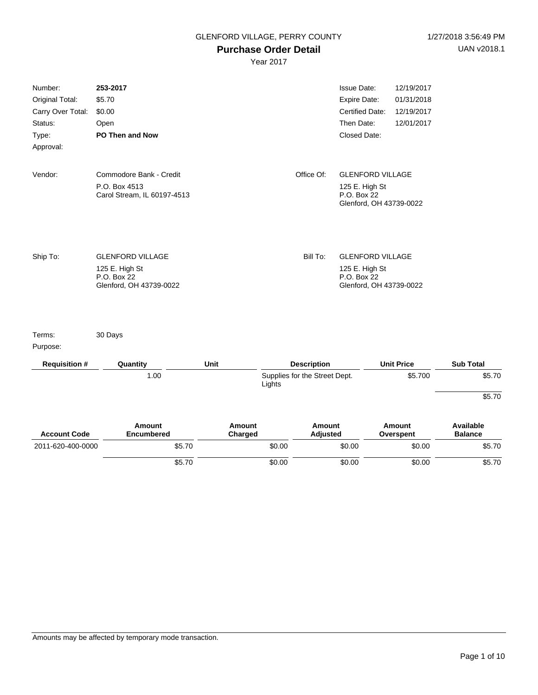# **Purchase Order Detail**

|                                                 | \$5.70                                                                  |                   | \$0.00 |                               | \$0.00                                                                              | \$0.00                                 | \$5.70                      |
|-------------------------------------------------|-------------------------------------------------------------------------|-------------------|--------|-------------------------------|-------------------------------------------------------------------------------------|----------------------------------------|-----------------------------|
| 2011-620-400-0000                               | \$5.70                                                                  |                   | \$0.00 |                               | \$0.00                                                                              | \$0.00                                 | \$5.70                      |
| <b>Account Code</b>                             | <b>Amount</b><br><b>Encumbered</b>                                      | Amount<br>Charged |        | Amount<br><b>Adjusted</b>     |                                                                                     | Amount<br>Overspent                    | Available<br><b>Balance</b> |
|                                                 |                                                                         |                   |        |                               |                                                                                     |                                        | \$5.70                      |
|                                                 | 1.00                                                                    |                   | Lights | Supplies for the Street Dept. |                                                                                     | \$5.700                                | \$5.70                      |
| <b>Requisition #</b>                            | Quantity                                                                | Unit              |        | <b>Description</b>            |                                                                                     | <b>Unit Price</b>                      | <b>Sub Total</b>            |
| Purpose:                                        |                                                                         |                   |        |                               |                                                                                     |                                        |                             |
| Terms:                                          | 30 Days                                                                 |                   |        |                               |                                                                                     |                                        |                             |
|                                                 | 125 E. High St<br>P.O. Box 22<br>Glenford, OH 43739-0022                |                   |        |                               | 125 E. High St<br>P.O. Box 22<br>Glenford, OH 43739-0022                            |                                        |                             |
| Ship To:                                        | <b>GLENFORD VILLAGE</b>                                                 |                   |        | Bill To:                      | <b>GLENFORD VILLAGE</b>                                                             |                                        |                             |
| Vendor:                                         | Commodore Bank - Credit<br>P.O. Box 4513<br>Carol Stream, IL 60197-4513 |                   |        | Office Of:                    | <b>GLENFORD VILLAGE</b><br>125 E. High St<br>P.O. Box 22<br>Glenford, OH 43739-0022 |                                        |                             |
| Type:<br>Approval:                              | PO Then and Now                                                         |                   |        |                               | Closed Date:                                                                        |                                        |                             |
| Original Total:<br>Carry Over Total:<br>Status: | \$5.70<br>\$0.00<br>Open                                                |                   |        |                               | Expire Date:<br>Certified Date:<br>Then Date:                                       | 01/31/2018<br>12/19/2017<br>12/01/2017 |                             |
| Number:                                         | 253-2017                                                                |                   |        |                               | <b>Issue Date:</b>                                                                  | 12/19/2017                             |                             |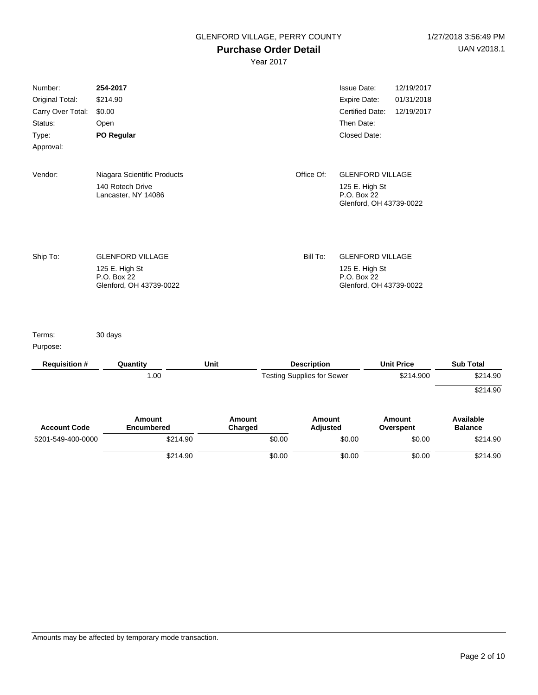#### **Purchase Order Detail**

| Number:<br>Original Total:<br>Carry Over Total:<br>Status:<br>Type:<br>Approval: | 254-2017<br>\$214.90<br>\$0.00<br>Open<br>PO Regular                                |                   |        |                                   | <b>Issue Date:</b><br>Expire Date:<br><b>Certified Date:</b><br>Then Date:<br>Closed Date: | 12/19/2017<br>01/31/2018<br>12/19/2017 |                             |
|----------------------------------------------------------------------------------|-------------------------------------------------------------------------------------|-------------------|--------|-----------------------------------|--------------------------------------------------------------------------------------------|----------------------------------------|-----------------------------|
| Vendor:                                                                          | Niagara Scientific Products<br>140 Rotech Drive<br>Lancaster, NY 14086              |                   |        | Office Of:                        | <b>GLENFORD VILLAGE</b><br>125 E. High St<br>P.O. Box 22<br>Glenford, OH 43739-0022        |                                        |                             |
| Ship To:                                                                         | <b>GLENFORD VILLAGE</b><br>125 E. High St<br>P.O. Box 22<br>Glenford, OH 43739-0022 |                   |        | Bill To:                          | <b>GLENFORD VILLAGE</b><br>125 E. High St<br>P.O. Box 22<br>Glenford, OH 43739-0022        |                                        |                             |
| Terms:<br>Purpose:                                                               | 30 days                                                                             |                   |        |                                   |                                                                                            |                                        |                             |
| <b>Requisition #</b>                                                             | Quantity                                                                            | Unit              |        | <b>Description</b>                |                                                                                            | <b>Unit Price</b>                      | <b>Sub Total</b>            |
|                                                                                  | 1.00                                                                                |                   |        | <b>Testing Supplies for Sewer</b> |                                                                                            | \$214.900                              | \$214.90<br>\$214.90        |
| <b>Account Code</b>                                                              | Amount<br>Encumbered                                                                | Amount<br>Charged |        | Amount<br><b>Adjusted</b>         |                                                                                            | <b>Amount</b><br>Overspent             | Available<br><b>Balance</b> |
| 5201-549-400-0000                                                                | \$214.90                                                                            |                   | \$0.00 |                                   | \$0.00                                                                                     | \$0.00                                 | \$214.90                    |
|                                                                                  | \$214.90                                                                            |                   | \$0.00 |                                   | \$0.00                                                                                     | \$0.00                                 | \$214.90                    |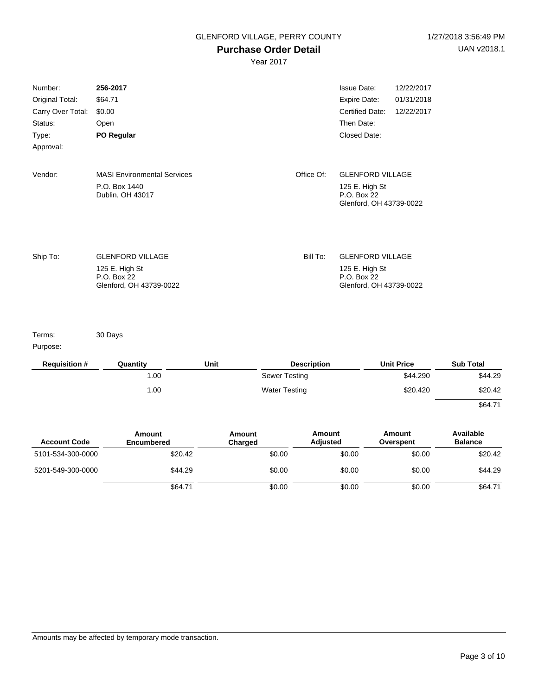# **Purchase Order Detail**

Year 2017

| Number:              | 256-2017                                                 |      |                      | <b>Issue Date:</b><br>12/22/2017                         |                  |
|----------------------|----------------------------------------------------------|------|----------------------|----------------------------------------------------------|------------------|
| Original Total:      | \$64.71                                                  |      |                      | Expire Date:<br>01/31/2018                               |                  |
| Carry Over Total:    | \$0.00                                                   |      |                      | <b>Certified Date:</b><br>12/22/2017                     |                  |
| Status:              | Open                                                     |      |                      | Then Date:                                               |                  |
| Type:                | PO Regular                                               |      |                      | Closed Date:                                             |                  |
| Approval:            |                                                          |      |                      |                                                          |                  |
| Vendor:              | <b>MASI Environmental Services</b>                       |      | Office Of:           | <b>GLENFORD VILLAGE</b>                                  |                  |
|                      | P.O. Box 1440<br>Dublin, OH 43017                        |      |                      | 125 E. High St<br>P.O. Box 22<br>Glenford, OH 43739-0022 |                  |
| Ship To:             | <b>GLENFORD VILLAGE</b><br>125 E. High St<br>P.O. Box 22 |      | Bill To:             | <b>GLENFORD VILLAGE</b><br>125 E. High St<br>P.O. Box 22 |                  |
|                      | Glenford, OH 43739-0022                                  |      |                      | Glenford, OH 43739-0022                                  |                  |
| Terms:<br>Purpose:   | 30 Days                                                  |      |                      |                                                          |                  |
| <b>Requisition #</b> | Quantity                                                 | Unit | <b>Description</b>   | <b>Unit Price</b>                                        | <b>Sub Total</b> |
|                      | 1.00                                                     |      | <b>Sewer Testing</b> | \$44.290                                                 | \$44.29          |
|                      | 1.00                                                     |      | <b>Water Testing</b> | \$20.420                                                 | \$20.42          |
|                      |                                                          |      |                      |                                                          | \$64.71          |

| <b>Account Code</b> | Amount<br>Encumbered | Amount<br>Charged | Amount<br><b>Adjusted</b> | Amount<br>Overspent | Available<br><b>Balance</b> |
|---------------------|----------------------|-------------------|---------------------------|---------------------|-----------------------------|
| 5101-534-300-0000   | \$20.42              | \$0.00            | \$0.00                    | \$0.00              | \$20.42                     |
| 5201-549-300-0000   | \$44.29              | \$0.00            | \$0.00                    | \$0.00              | \$44.29                     |
|                     | \$64.71              | \$0.00            | \$0.00                    | \$0.00              | \$64.71                     |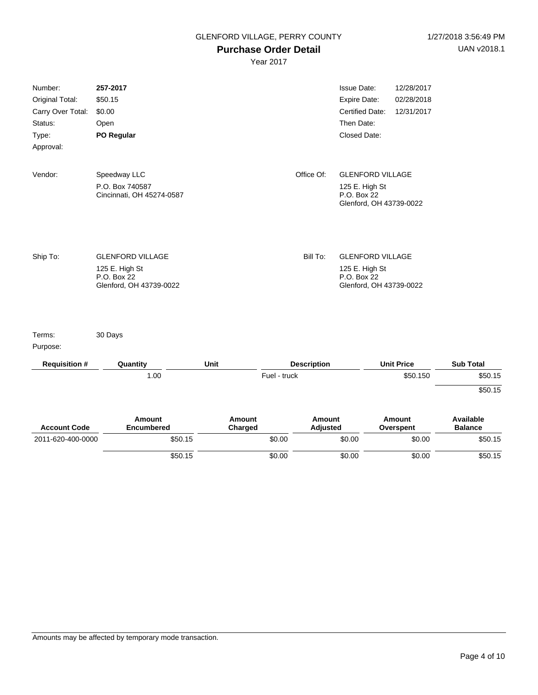### **Purchase Order Detail**

| Number:<br>Original Total: | 257-2017<br>\$50.15                          |                          |              |                           | <b>Issue Date:</b><br><b>Expire Date:</b> | 12/28/2017<br>02/28/2018   |                                    |
|----------------------------|----------------------------------------------|--------------------------|--------------|---------------------------|-------------------------------------------|----------------------------|------------------------------------|
| Carry Over Total:          | \$0.00                                       |                          |              |                           | Certified Date:                           | 12/31/2017                 |                                    |
| Status:                    | Open                                         |                          |              |                           | Then Date:                                |                            |                                    |
| Type:                      | PO Regular                                   |                          |              |                           | Closed Date:                              |                            |                                    |
| Approval:                  |                                              |                          |              |                           |                                           |                            |                                    |
| Vendor:                    | Speedway LLC                                 |                          |              | Office Of:                | <b>GLENFORD VILLAGE</b>                   |                            |                                    |
|                            | P.O. Box 740587<br>Cincinnati, OH 45274-0587 |                          |              |                           | 125 E. High St<br>P.O. Box 22             |                            |                                    |
|                            |                                              |                          |              |                           | Glenford, OH 43739-0022                   |                            |                                    |
|                            |                                              |                          |              |                           |                                           |                            |                                    |
| Ship To:                   | <b>GLENFORD VILLAGE</b>                      |                          |              | Bill To:                  | <b>GLENFORD VILLAGE</b>                   |                            |                                    |
|                            | 125 E. High St                               |                          |              |                           | 125 E. High St                            |                            |                                    |
|                            | P.O. Box 22<br>Glenford, OH 43739-0022       |                          |              |                           | P.O. Box 22<br>Glenford, OH 43739-0022    |                            |                                    |
| Terms:                     | 30 Days                                      |                          |              |                           |                                           |                            |                                    |
| Purpose:                   |                                              |                          |              |                           |                                           |                            |                                    |
| <b>Requisition #</b>       | Quantity                                     | Unit                     |              | <b>Description</b>        |                                           | <b>Unit Price</b>          | <b>Sub Total</b>                   |
|                            | 1.00                                         |                          | Fuel - truck |                           |                                           | \$50.150                   | \$50.15                            |
|                            |                                              |                          |              |                           |                                           |                            | \$50.15                            |
| <b>Account Code</b>        | <b>Amount</b><br><b>Encumbered</b>           | <b>Amount</b><br>Charged |              | <b>Amount</b><br>Adjusted |                                           | <b>Amount</b><br>Overspent | <b>Available</b><br><b>Balance</b> |
| 2011-620-400-0000          | \$50.15                                      |                          | \$0.00       |                           | \$0.00                                    | \$0.00                     | \$50.15                            |
|                            | \$50.15                                      |                          | \$0.00       |                           | \$0.00                                    | \$0.00                     | \$50.15                            |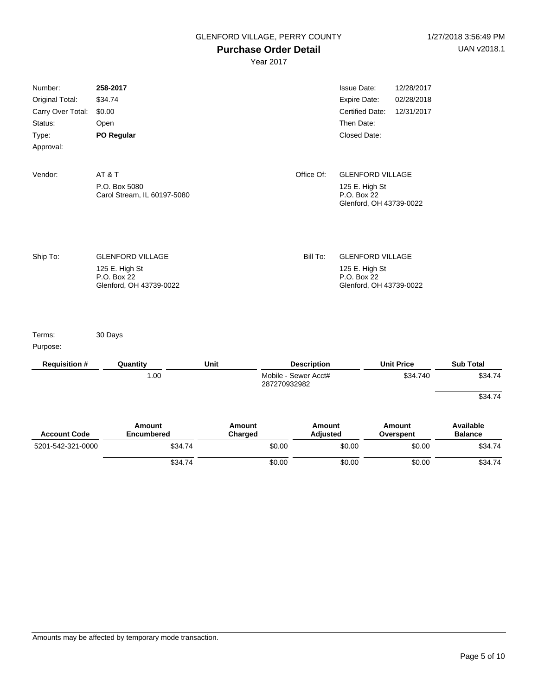### **Purchase Order Detail**

|                                                                                  | \$34.74                                                                             |                   | \$0.00       |                      | \$0.00                                                                                            | \$0.00                                 | \$34.74                     |
|----------------------------------------------------------------------------------|-------------------------------------------------------------------------------------|-------------------|--------------|----------------------|---------------------------------------------------------------------------------------------------|----------------------------------------|-----------------------------|
| 5201-542-321-0000                                                                | \$34.74                                                                             |                   | \$0.00       |                      | \$0.00                                                                                            | \$0.00                                 | \$34.74                     |
| <b>Account Code</b>                                                              | <b>Amount</b><br><b>Encumbered</b>                                                  | Amount<br>Charged |              | Amount<br>Adjusted   |                                                                                                   | Amount<br>Overspent                    | Available<br><b>Balance</b> |
|                                                                                  | 1.00                                                                                |                   | 287270932982 | Mobile - Sewer Acct# |                                                                                                   | \$34.740                               | \$34.74<br>\$34.74          |
| <b>Requisition #</b>                                                             | Quantity                                                                            | Unit              |              | <b>Description</b>   |                                                                                                   | <b>Unit Price</b>                      | <b>Sub Total</b>            |
| Terms:<br>Purpose:                                                               | 30 Days                                                                             |                   |              |                      |                                                                                                   |                                        |                             |
| Ship To:                                                                         | <b>GLENFORD VILLAGE</b><br>125 E. High St<br>P.O. Box 22<br>Glenford, OH 43739-0022 |                   |              | Bill To:             | <b>GLENFORD VILLAGE</b><br>125 E. High St<br>P.O. Box 22<br>Glenford, OH 43739-0022               |                                        |                             |
| Vendor:                                                                          | AT&T<br>P.O. Box 5080<br>Carol Stream, IL 60197-5080                                |                   |              | Office Of:           | <b>GLENFORD VILLAGE</b><br>125 E. High St<br>P.O. Box 22<br>Glenford, OH 43739-0022               |                                        |                             |
| Number:<br>Original Total:<br>Carry Over Total:<br>Status:<br>Type:<br>Approval: | 258-2017<br>\$34.74<br>\$0.00<br>Open<br>PO Regular                                 |                   |              |                      | <b>Issue Date:</b><br><b>Expire Date:</b><br><b>Certified Date:</b><br>Then Date:<br>Closed Date: | 12/28/2017<br>02/28/2018<br>12/31/2017 |                             |
|                                                                                  |                                                                                     |                   |              |                      |                                                                                                   |                                        |                             |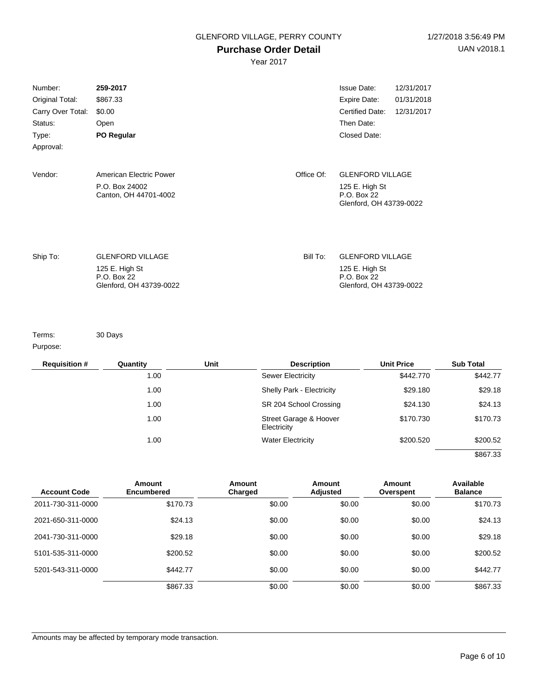### **Purchase Order Detail**

Year 2017

| Number:<br>Original Total:<br>Carry Over Total:<br>Status:<br>Type:<br>Approval: | 259-2017<br>\$867.33<br>\$0.00<br>Open<br><b>PO Regular</b>                         |            | <b>Issue Date:</b><br>Expire Date:<br>Certified Date:<br>Then Date:<br>Closed Date: | 12/31/2017<br>01/31/2018<br>12/31/2017 |
|----------------------------------------------------------------------------------|-------------------------------------------------------------------------------------|------------|-------------------------------------------------------------------------------------|----------------------------------------|
| Vendor:                                                                          | American Electric Power<br>P.O. Box 24002<br>Canton, OH 44701-4002                  | Office Of: | <b>GLENFORD VILLAGE</b><br>125 E. High St<br>P.O. Box 22<br>Glenford, OH 43739-0022 |                                        |
| Ship To:                                                                         | <b>GLENFORD VILLAGE</b><br>125 E. High St<br>P.O. Box 22<br>Glenford, OH 43739-0022 | Bill To:   | <b>GLENFORD VILLAGE</b><br>125 E. High St<br>P.O. Box 22<br>Glenford, OH 43739-0022 |                                        |

Terms:

30 Days

Purpose:

| <b>Requisition #</b> | Quantity | Unit | <b>Description</b>                    | <b>Unit Price</b> | <b>Sub Total</b> |
|----------------------|----------|------|---------------------------------------|-------------------|------------------|
|                      | 1.00     |      | <b>Sewer Electricity</b>              | \$442,770         | \$442.77         |
|                      | 1.00     |      | Shelly Park - Electricity             | \$29.180          | \$29.18          |
|                      | 1.00     |      | SR 204 School Crossing                | \$24.130          | \$24.13          |
|                      | 1.00     |      | Street Garage & Hoover<br>Electricity | \$170.730         | \$170.73         |
|                      | 1.00     |      | <b>Water Electricity</b>              | \$200.520         | \$200.52         |
|                      |          |      |                                       |                   | \$867.33         |

| <b>Account Code</b> | Amount<br><b>Encumbered</b> | Amount<br>Charged | Amount<br>Adjusted | Amount<br>Overspent | Available<br><b>Balance</b> |
|---------------------|-----------------------------|-------------------|--------------------|---------------------|-----------------------------|
| 2011-730-311-0000   | \$170.73                    | \$0.00            | \$0.00             | \$0.00              | \$170.73                    |
| 2021-650-311-0000   | \$24.13                     | \$0.00            | \$0.00             | \$0.00              | \$24.13                     |
| 2041-730-311-0000   | \$29.18                     | \$0.00            | \$0.00             | \$0.00              | \$29.18                     |
| 5101-535-311-0000   | \$200.52                    | \$0.00            | \$0.00             | \$0.00              | \$200.52                    |
| 5201-543-311-0000   | \$442.77                    | \$0.00            | \$0.00             | \$0.00              | \$442.77                    |
|                     | \$867.33                    | \$0.00            | \$0.00             | \$0.00              | \$867.33                    |

Amounts may be affected by temporary mode transaction.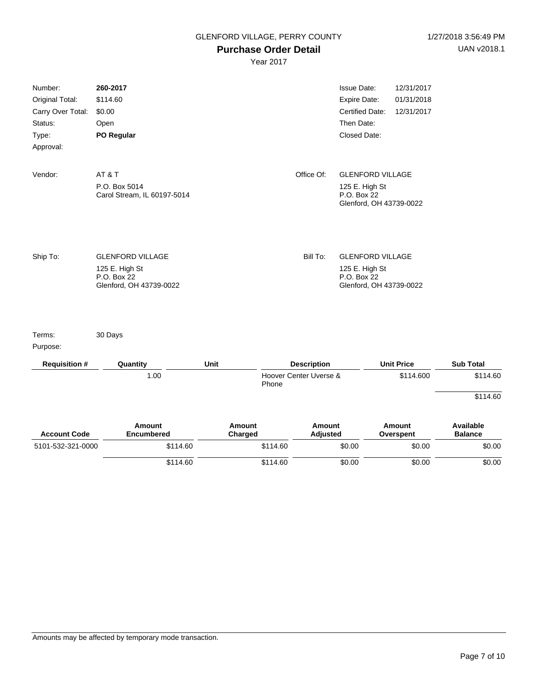## **Purchase Order Detail**

| Number:              | 260-2017                                     |                          |          |                                              | <b>Issue Date:</b>                                       | 12/31/2017                 |                             |
|----------------------|----------------------------------------------|--------------------------|----------|----------------------------------------------|----------------------------------------------------------|----------------------------|-----------------------------|
| Original Total:      | \$114.60                                     |                          |          |                                              | Expire Date:                                             | 01/31/2018                 |                             |
| Carry Over Total:    | \$0.00                                       |                          |          |                                              | <b>Certified Date:</b>                                   | 12/31/2017                 |                             |
| Status:              | Open                                         |                          |          |                                              | Then Date:                                               |                            |                             |
| Type:                | PO Regular                                   |                          |          |                                              | Closed Date:                                             |                            |                             |
| Approval:            |                                              |                          |          |                                              |                                                          |                            |                             |
| Vendor:              | AT&T                                         |                          |          | Office Of:                                   | <b>GLENFORD VILLAGE</b>                                  |                            |                             |
|                      | P.O. Box 5014<br>Carol Stream, IL 60197-5014 |                          |          |                                              | 125 E. High St<br>P.O. Box 22<br>Glenford, OH 43739-0022 |                            |                             |
|                      |                                              |                          |          |                                              |                                                          |                            |                             |
| Ship To:             | <b>GLENFORD VILLAGE</b>                      |                          |          | Bill To:                                     | <b>GLENFORD VILLAGE</b>                                  |                            |                             |
|                      | 125 E. High St                               |                          |          |                                              | 125 E. High St                                           |                            |                             |
|                      | P.O. Box 22<br>Glenford, OH 43739-0022       |                          |          |                                              | P.O. Box 22<br>Glenford, OH 43739-0022                   |                            |                             |
| Terms:               | 30 Days                                      |                          |          |                                              |                                                          |                            |                             |
| Purpose:             |                                              |                          |          |                                              |                                                          |                            |                             |
| <b>Requisition #</b> | Quantity                                     | Unit                     |          | <b>Description</b><br>Hoover Center Uverse & |                                                          | <b>Unit Price</b>          | <b>Sub Total</b>            |
|                      | 1.00                                         |                          | Phone    |                                              |                                                          | \$114.600                  | \$114.60                    |
|                      |                                              |                          |          |                                              |                                                          |                            | \$114.60                    |
| <b>Account Code</b>  | <b>Amount</b><br><b>Encumbered</b>           | <b>Amount</b><br>Charged |          | <b>Amount</b><br>Adjusted                    |                                                          | <b>Amount</b><br>Overspent | Available<br><b>Balance</b> |
| 5101-532-321-0000    | \$114.60                                     |                          | \$114.60 |                                              | \$0.00                                                   | \$0.00                     | \$0.00                      |
|                      | \$114.60                                     |                          | \$114.60 |                                              | \$0.00                                                   | \$0.00                     | \$0.00                      |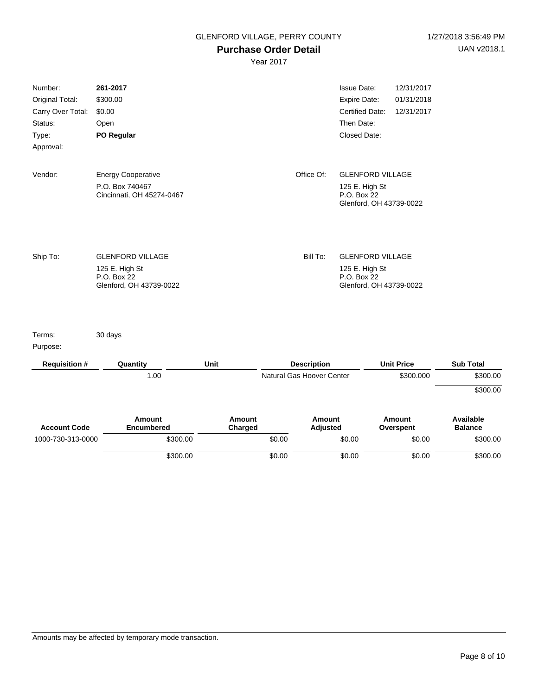#### **Purchase Order Detail**

| Number:<br>Original Total:<br>Carry Over Total:<br>Status:<br>Type:<br>Approval: | 261-2017<br>\$300.00<br>\$0.00<br>Open<br>PO Regular                                |                   |        |                           | <b>Issue Date:</b><br>Expire Date:<br><b>Certified Date:</b><br>Then Date:<br>Closed Date: | 12/31/2017<br>01/31/2018<br>12/31/2017 |                             |
|----------------------------------------------------------------------------------|-------------------------------------------------------------------------------------|-------------------|--------|---------------------------|--------------------------------------------------------------------------------------------|----------------------------------------|-----------------------------|
| Vendor:                                                                          | <b>Energy Cooperative</b><br>P.O. Box 740467<br>Cincinnati, OH 45274-0467           |                   |        | Office Of:                | <b>GLENFORD VILLAGE</b><br>125 E. High St<br>P.O. Box 22<br>Glenford, OH 43739-0022        |                                        |                             |
| Ship To:                                                                         | <b>GLENFORD VILLAGE</b><br>125 E. High St<br>P.O. Box 22<br>Glenford, OH 43739-0022 |                   |        | Bill To:                  | <b>GLENFORD VILLAGE</b><br>125 E. High St<br>P.O. Box 22<br>Glenford, OH 43739-0022        |                                        |                             |
| Terms:<br>Purpose:                                                               | 30 days                                                                             |                   |        |                           |                                                                                            |                                        |                             |
| <b>Requisition #</b>                                                             | Quantity                                                                            | Unit              |        | <b>Description</b>        |                                                                                            | <b>Unit Price</b>                      | <b>Sub Total</b>            |
|                                                                                  | 1.00                                                                                |                   |        | Natural Gas Hoover Center |                                                                                            | \$300.000                              | \$300.00                    |
|                                                                                  |                                                                                     |                   |        |                           |                                                                                            |                                        | \$300.00                    |
| <b>Account Code</b>                                                              | <b>Amount</b><br>Encumbered                                                         | Amount<br>Charged |        | Amount<br><b>Adjusted</b> |                                                                                            | <b>Amount</b><br>Overspent             | Available<br><b>Balance</b> |
| 1000-730-313-0000                                                                | \$300.00                                                                            |                   | \$0.00 |                           | \$0.00                                                                                     | \$0.00                                 | \$300.00                    |
|                                                                                  | \$300.00                                                                            |                   | \$0.00 |                           | \$0.00                                                                                     | \$0.00                                 | \$300.00                    |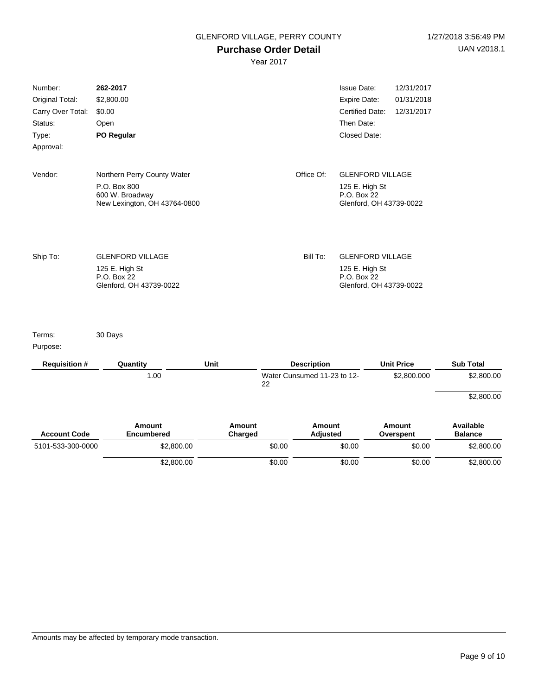## **Purchase Order Detail**

Year 2017

| 5101-533-300-0000          | \$2,800.00<br>\$2,800.00                                        |                          | \$0.00<br>\$0.00 |                                  | \$0.00<br>\$0.00                                         | \$0.00<br>\$0.00         | \$2,800.00<br>\$2,800.00           |
|----------------------------|-----------------------------------------------------------------|--------------------------|------------------|----------------------------------|----------------------------------------------------------|--------------------------|------------------------------------|
| <b>Account Code</b>        | <b>Amount</b><br><b>Encumbered</b>                              | <b>Amount</b><br>Charged |                  | <b>Amount</b><br><b>Adjusted</b> |                                                          | Amount<br>Overspent      | <b>Available</b><br><b>Balance</b> |
|                            |                                                                 |                          |                  |                                  |                                                          |                          | \$2,800.00                         |
|                            | 1.00                                                            |                          | 22               | Water Cunsumed 11-23 to 12-      |                                                          | \$2,800.000              | \$2,800.00                         |
| <b>Requisition #</b>       | Quantity                                                        | Unit                     |                  | <b>Description</b>               |                                                          | <b>Unit Price</b>        | <b>Sub Total</b>                   |
| Purpose:                   |                                                                 |                          |                  |                                  |                                                          |                          |                                    |
| Terms:                     | 30 Days                                                         |                          |                  |                                  |                                                          |                          |                                    |
|                            | P.O. Box 22<br>Glenford, OH 43739-0022                          |                          |                  |                                  | P.O. Box 22<br>Glenford, OH 43739-0022                   |                          |                                    |
| Ship To:                   | <b>GLENFORD VILLAGE</b><br>125 E. High St                       |                          |                  | Bill To:                         | <b>GLENFORD VILLAGE</b><br>125 E. High St                |                          |                                    |
|                            | P.O. Box 800<br>600 W. Broadway<br>New Lexington, OH 43764-0800 |                          |                  |                                  | 125 E. High St<br>P.O. Box 22<br>Glenford, OH 43739-0022 |                          |                                    |
| Vendor:                    | Northern Perry County Water                                     |                          |                  | Office Of:                       | <b>GLENFORD VILLAGE</b>                                  |                          |                                    |
| Approval:                  |                                                                 |                          |                  |                                  |                                                          |                          |                                    |
| Type:                      | PO Regular                                                      |                          |                  |                                  | Closed Date:                                             |                          |                                    |
| Status:                    | Open                                                            |                          |                  |                                  | Then Date:                                               |                          |                                    |
| Carry Over Total:          | \$0.00                                                          |                          |                  |                                  | Certified Date:                                          | 12/31/2017               |                                    |
| Number:<br>Original Total: | 262-2017<br>\$2,800.00                                          |                          |                  |                                  | <b>Issue Date:</b><br><b>Expire Date:</b>                | 12/31/2017<br>01/31/2018 |                                    |

Amounts may be affected by temporary mode transaction.